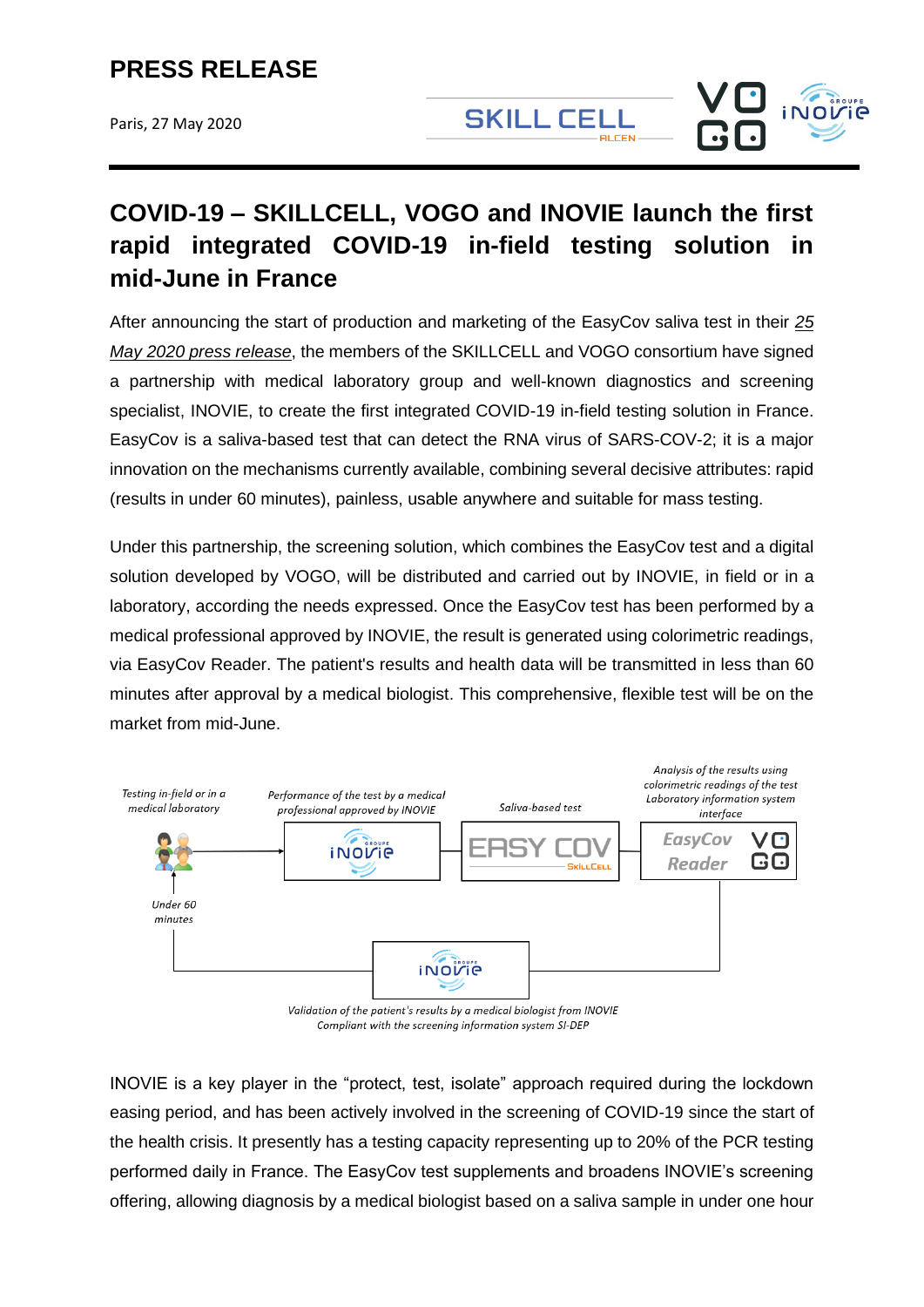Paris, 27 May 2020

**SKILL CELL DI CENI** 



# **COVID-19 – SKILLCELL, VOGO and INOVIE launch the first rapid integrated COVID-19 in-field testing solution in mid-June in France**

After announcing the start of production and marketing of the EasyCov saliva test in their *[25](https://www.vogo-group.com/wp-content/uploads/2020/05/CP-IndustrialisationEasyCov_SKILLCELL-VOGO-CNRS_FR_VDEF.pdf)  [May 2020 press release](https://www.vogo-group.com/wp-content/uploads/2020/05/CP-IndustrialisationEasyCov_SKILLCELL-VOGO-CNRS_FR_VDEF.pdf)*, the members of the SKILLCELL and VOGO consortium have signed a partnership with medical laboratory group and well-known diagnostics and screening specialist, INOVIE, to create the first integrated COVID-19 in-field testing solution in France. EasyCov is a saliva-based test that can detect the RNA virus of SARS-COV-2; it is a major innovation on the mechanisms currently available, combining several decisive attributes: rapid (results in under 60 minutes), painless, usable anywhere and suitable for mass testing.

Under this partnership, the screening solution, which combines the EasyCov test and a digital solution developed by VOGO, will be distributed and carried out by INOVIE, in field or in a laboratory, according the needs expressed. Once the EasyCov test has been performed by a medical professional approved by INOVIE, the result is generated using colorimetric readings, via EasyCov Reader. The patient's results and health data will be transmitted in less than 60 minutes after approval by a medical biologist. This comprehensive, flexible test will be on the market from mid-June.



Compliant with the screening information system SI-DEP

INOVIE is a key player in the "protect, test, isolate" approach required during the lockdown easing period, and has been actively involved in the screening of COVID-19 since the start of the health crisis. It presently has a testing capacity representing up to 20% of the PCR testing performed daily in France. The EasyCov test supplements and broadens INOVIE's screening offering, allowing diagnosis by a medical biologist based on a saliva sample in under one hour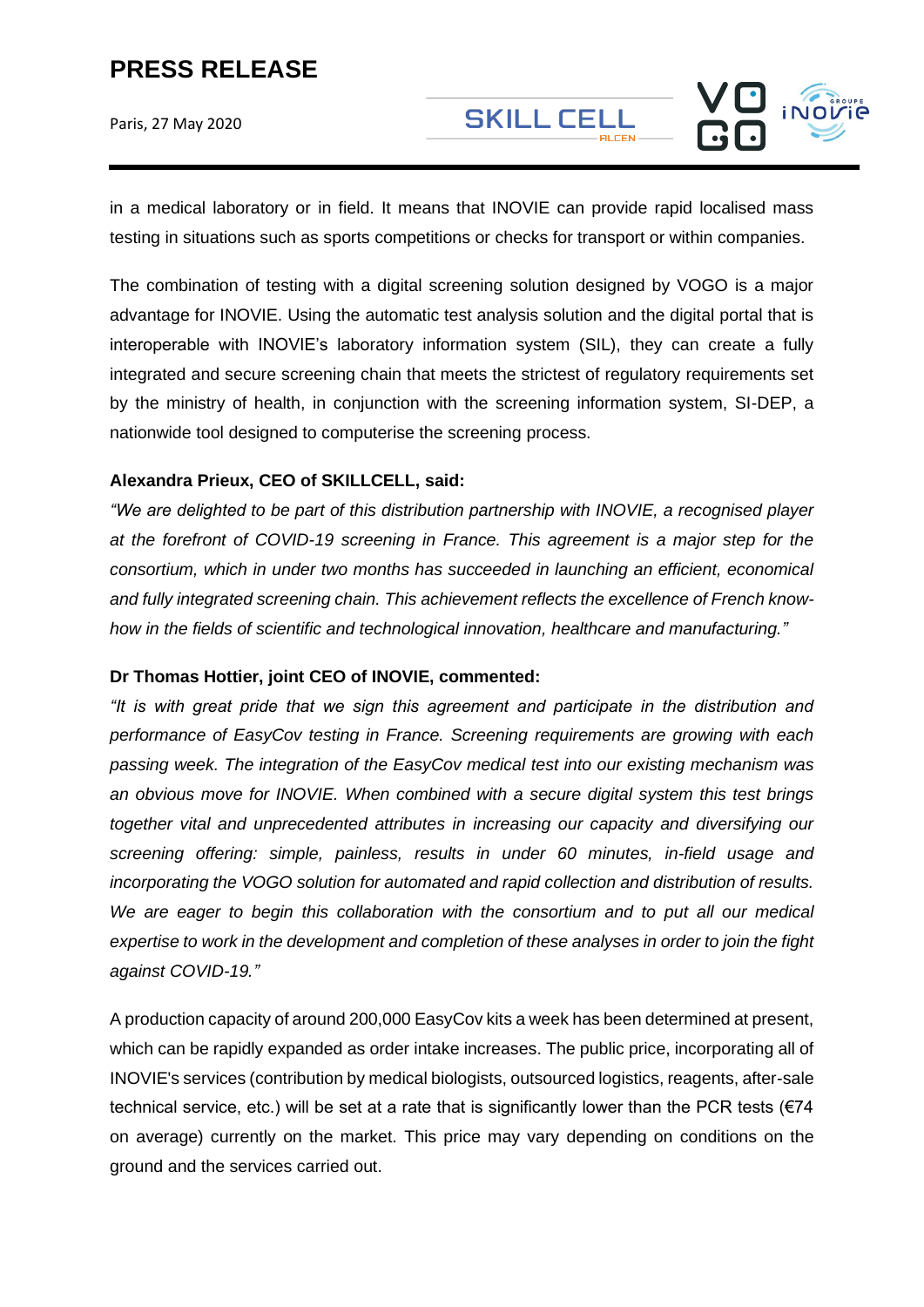Paris, 27 May 2020

**SKILL CELL** 

in a medical laboratory or in field. It means that INOVIE can provide rapid localised mass testing in situations such as sports competitions or checks for transport or within companies.

The combination of testing with a digital screening solution designed by VOGO is a major advantage for INOVIE. Using the automatic test analysis solution and the digital portal that is interoperable with INOVIE's laboratory information system (SIL), they can create a fully integrated and secure screening chain that meets the strictest of regulatory requirements set by the ministry of health, in conjunction with the screening information system, SI-DEP, a nationwide tool designed to computerise the screening process.

### **Alexandra Prieux, CEO of SKILLCELL, said:**

*"We are delighted to be part of this distribution partnership with INOVIE, a recognised player at the forefront of COVID-19 screening in France. This agreement is a major step for the consortium, which in under two months has succeeded in launching an efficient, economical and fully integrated screening chain. This achievement reflects the excellence of French knowhow in the fields of scientific and technological innovation, healthcare and manufacturing."*

### **Dr Thomas Hottier, joint CEO of INOVIE, commented:**

*"It is with great pride that we sign this agreement and participate in the distribution and performance of EasyCov testing in France. Screening requirements are growing with each passing week. The integration of the EasyCov medical test into our existing mechanism was an obvious move for INOVIE. When combined with a secure digital system this test brings together vital and unprecedented attributes in increasing our capacity and diversifying our screening offering: simple, painless, results in under 60 minutes, in-field usage and incorporating the VOGO solution for automated and rapid collection and distribution of results. We are eager to begin this collaboration with the consortium and to put all our medical expertise to work in the development and completion of these analyses in order to join the fight against COVID-19."*

A production capacity of around 200,000 EasyCov kits a week has been determined at present, which can be rapidly expanded as order intake increases. The public price, incorporating all of INOVIE's services (contribution by medical biologists, outsourced logistics, reagents, after-sale technical service, etc.) will be set at a rate that is significantly lower than the PCR tests ( $\epsilon$ 74 on average) currently on the market. This price may vary depending on conditions on the ground and the services carried out.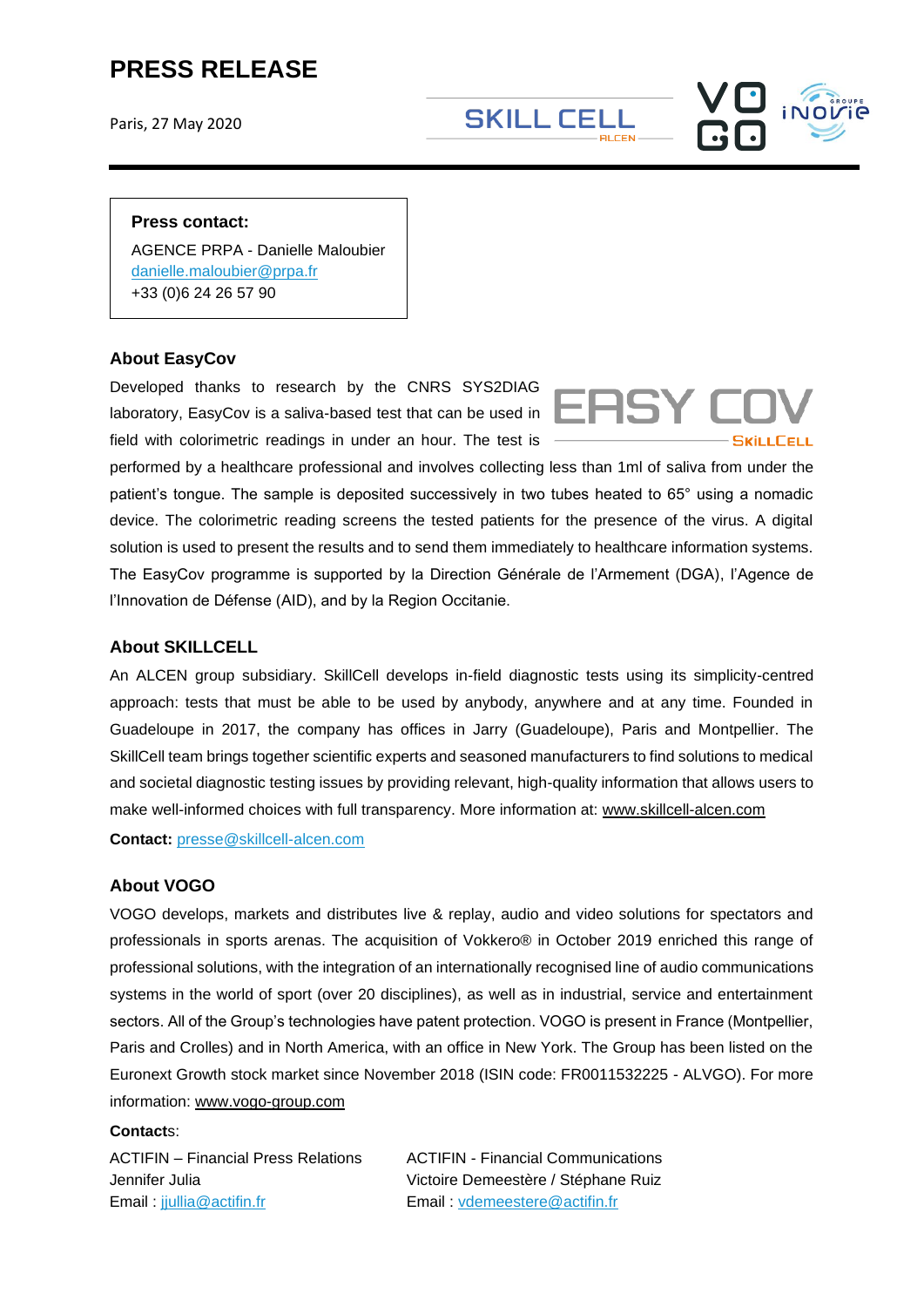Paris, 27 May 2020

**SKILL CELL** 

#### **Press contact:**

AGENCE PRPA - Danielle Maloubier [danielle.maloubier@prpa.fr](mailto:danielle.maloubier@prpa.fr) +33 (0)6 24 26 57 90

### **About EasyCov**

Developed thanks to research by the CNRS SYS2DIAG laboratory, EasyCov is a saliva-based test that can be used in field with colorimetric readings in under an hour. The test is



performed by a healthcare professional and involves collecting less than 1ml of saliva from under the patient's tongue. The sample is deposited successively in two tubes heated to 65° using a nomadic device. The colorimetric reading screens the tested patients for the presence of the virus. A digital solution is used to present the results and to send them immediately to healthcare information systems. The EasyCov programme is supported by la Direction Générale de l'Armement (DGA), l'Agence de l'Innovation de Défense (AID), and by la Region Occitanie.

### **About SKILLCELL**

An ALCEN group subsidiary. SkillCell develops in-field diagnostic tests using its simplicity-centred approach: tests that must be able to be used by anybody, anywhere and at any time. Founded in Guadeloupe in 2017, the company has offices in Jarry (Guadeloupe), Paris and Montpellier. The SkillCell team brings together scientific experts and seasoned manufacturers to find solutions to medical and societal diagnostic testing issues by providing relevant, high-quality information that allows users to make well-informed choices with full transparency. More information at: [www.skillcell-alcen.com](http://www.skillcell-alcen.com/)

**Contact:** [presse@skillcell-alcen.com](mailto:presse@skillcell-alcen.com)

### **About VOGO**

VOGO develops, markets and distributes live & replay, audio and video solutions for spectators and professionals in sports arenas. The acquisition of Vokkero® in October 2019 enriched this range of professional solutions, with the integration of an internationally recognised line of audio communications systems in the world of sport (over 20 disciplines), as well as in industrial, service and entertainment sectors. All of the Group's technologies have patent protection. VOGO is present in France (Montpellier, Paris and Crolles) and in North America, with an office in New York. The Group has been listed on the Euronext Growth stock market since November 2018 (ISIN code: FR0011532225 - ALVGO). For more information: [www.vogo-group.com](http://www.vogo-group.com/)

#### **Contact**s:

ACTIFIN – Financial Press Relations Jennifer Julia Email : [jjullia@actifin.fr](mailto:jjullia@actifin.fr)

ACTIFIN - Financial Communications Victoire Demeestère / Stéphane Ruiz Email : [vdemeestere@actifin.fr](mailto:vdemeestere@actifin.fr)